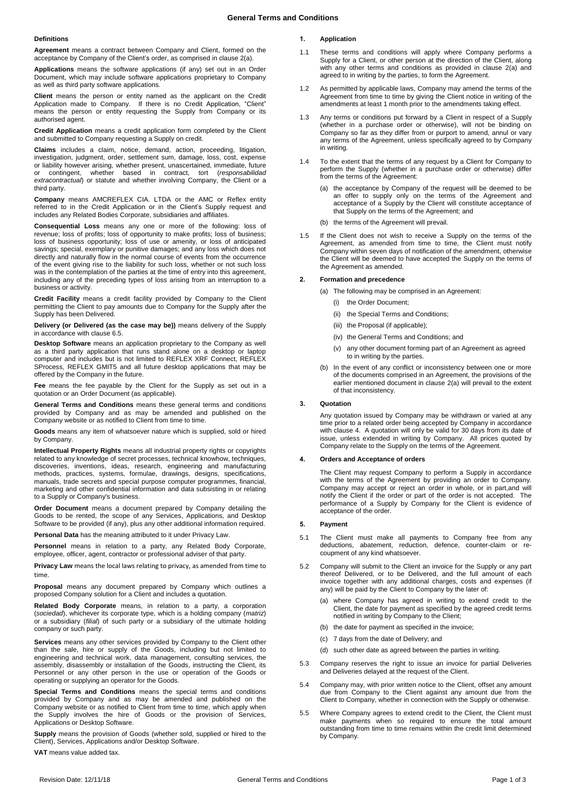## **Definitions**

**Agreement** means a contract between Company and Client, formed on the acceptance by Company of the Client's order, as comprised in claus[e 2\(a\).](#page-0-0)

**Applications** means the software applications (if any) set out in an Order Document, which may include software applications proprietary to Company as well as third party software applications.

**Client** means the person or entity named as the applicant on the Credit Application made to Company. If there is no Credit Application, "Client" means the person or entity requesting the Supply from Company or its authorised agent.

**Credit Application** means a credit application form completed by the Client and submitted to Company requesting a Supply on credit.

**Claims** includes a claim, notice, demand, action, proceeding, litigation, investigation, judgment, order, settlement sum, damage, loss, cost, expense or liability however arising, whether present, unascertained, immediate, future or contingent, whether based in contract, tort (*responsabilidad extracontractual*) or statute and whether involving Company, the Client or a third party.

**Company** means AMCREFLEX CIA. LTDA or the AMC or Reflex entity referred to in the Credit Application or in the Client's Supply request and includes any Related Bodies Corporate, subsidiaries and affiliates.

**Consequential Loss** means any one or more of the following: loss of revenue; loss of profits; loss of opportunity to make profits; loss of business; loss of business opportunity; loss of use or amenity, or loss of anticipated savings; special, exemplary or punitive damages; and any loss which does not directly and naturally flow in the normal course of events from the occurrence of the event giving rise to the liability for such loss, whether or not such loss was in the contemplation of the parties at the time of entry into this agreement, including any of the preceding types of loss arising from an interruption to a business or activity.

**Credit Facility** means a credit facility provided by Company to the Client permitting the Client to pay amounts due to Company for the Supply after the Supply has been Delivered.

**Delivery (or Delivered (as the case may be))** means delivery of the Supply in accordance with claus[e 6.5.](#page-1-0)

**Desktop Software** means an application proprietary to the Company as well as a third party application that runs stand alone on a desktop or laptop computer and includes but is not limited to REFLEX XRF Connect, REFLEX SProcess, REFLEX GMIT5 and all future desktop applications that may be offered by the Company in the future.

**Fee** means the fee payable by the Client for the Supply as set out in a quotation or an Order Document (as applicable).

**General Terms and Conditions** means these general terms and conditions provided by Company and as may be amended and published on the Company website or as notified to Client from time to time.

**Goods** means any item of whatsoever nature which is supplied, sold or hired by Company.

**Intellectual Property Rights** means all industrial property rights or copyrights related to any knowledge of secret processes, technical knowhow, techniques, discoveries, inventions, ideas, research, engineering and manufacturing methods, practices, systems, formulae, drawings, designs, specifications, manuals, trade secrets and special purpose computer programmes, financial, marketing and other confidential information and data subsisting in or relating to a Supply or Company's business.

**Order Document** means a document prepared by Company detailing the Goods to be rented, the scope of any Services, Applications, and Desktop Software to be provided (if any), plus any other additional information required.

**Personal Data** has the meaning attributed to it under Privacy Law.

**Personnel** means in relation to a party, any Related Body Corporate, employee, officer, agent, contractor or professional adviser of that party.

**Privacy Law** means the local laws relating to privacy, as amended from time to time.

**Proposal** means any document prepared by Company which outlines a proposed Company solution for a Client and includes a quotation.

**Related Body Corporate** means, in relation to a party, a corporation (*sociedad*), whichever its corporate type, which is a holding company (*matriz*) or a subsidiary (*filial*) of such party or a subsidiary of the ultimate holding company or such party.

**Services** means any other services provided by Company to the Client other than the sale, hire or supply of the Goods, including but not limited to engineering and technical work, data management, consulting services, the assembly, disassembly or installation of the Goods, instructing the Client, its Personnel or any other person in the use or operation of the Goods or operating or supplying an operator for the Goods.

**Special Terms and Conditions** means the special terms and conditions provided by Company and as may be amended and published on the Company website or as notified to Client from time to time, which apply when the Supply involves the hire of Goods or the provision of Services, Applications or Desktop Software.

**Supply** means the provision of Goods (whether sold, supplied or hired to the Client), Services, Applications and/or Desktop Software.

**VAT** means value added tax.

# **1. Application**

- 1.1 These terms and conditions will apply where Company performs a Supply for a Client, or other person at the direction of the Client, along with any other terms and conditions as provided in clause 2(a) and agreed to in writing by the parties, to form the Agreement.
- 1.2 As permitted by applicable laws, Company may amend the terms of the Agreement from time to time by giving the Client notice in writing of the amendments at least 1 month prior to the amendments taking effect.
- 1.3 Any terms or conditions put forward by a Client in respect of a Supply (whether in a purchase order or otherwise), will not be binding on Company so far as they differ from or purport to amend, annul or vary any terms of the Agreement, unless specifically agreed to by Company in writing.
- 1.4 To the extent that the terms of any request by a Client for Company to perform the Supply (whether in a purchase order or otherwise) differ from the terms of the Agreement:
	- (a) the acceptance by Company of the request will be deemed to be an offer to supply only on the terms of the Agreement and acceptance of a Supply by the Client will constitute acceptance of that Supply on the terms of the Agreement; and
	- (b) the terms of the Agreement will prevail.
- 1.5 If the Client does not wish to receive a Supply on the terms of the Agreement, as amended from time to time, the Client must notify Company within seven days of notification of the amendment, otherwise the Client will be deemed to have accepted the Supply on the terms of the Agreement as amended.

## <span id="page-0-0"></span>**2. Formation and precedence**

- (a) The following may be comprised in an Agreement:
	- (i) the Order Document;
	- (ii) the Special Terms and Conditions;
	- (iii) the Proposal (if applicable);
	- (iv) the General Terms and Conditions; and
	- (v) any other document forming part of an Agreement as agreed to in writing by the parties.
- (b) In the event of any conflict or inconsistency between one or more of the documents comprised in an Agreement, the provisions of the earlier mentioned document in clause [2\(a\)](#page-0-0) will prevail to the extent of that inconsistency.

## **3. Quotation**

Any quotation issued by Company may be withdrawn or varied at any time prior to a related order being accepted by Company in accordance with claus[e 4.](#page-0-1) A quotation will only be valid for 30 days from its date of issue, unless extended in writing by Company. All prices quoted by Company relate to the Supply on the terms of the Agreement.

### <span id="page-0-1"></span>**4. Orders and Acceptance of orders**

The Client may request Company to perform a Supply in accordance with the terms of the Agreement by providing an order to Company. Company may accept or reject an order in whole, or in part,and will notify the Client if the order or part of the order is not accepted. The performance of a Supply by Company for the Client is evidence of acceptance of the order.

### **5. Payment**

- 5.1 The Client must make all payments to Company free from any deductions, abatement, reduction, defence, counter-claim or recoupment of any kind whatsoever.
- 5.2 Company will submit to the Client an invoice for the Supply or any part thereof Delivered, or to be Delivered, and the full amount of each invoice together with any additional charges, costs and expenses (if any) will be paid by the Client to Company by the later of:
	- (a) where Company has agreed in writing to extend credit to the Client, the date for payment as specified by the agreed credit terms notified in writing by Company to the Client;
	- (b) the date for payment as specified in the invoice;
	- (c) 7 days from the date of Delivery; and
	- (d) such other date as agreed between the parties in writing.
- 5.3 Company reserves the right to issue an invoice for partial Deliveries and Deliveries delayed at the request of the Client.
- 5.4 Company may, with prior written notice to the Client, offset any amount due from Company to the Client against any amount due from the Client to Company, whether in connection with the Supply or otherwise.
- 5.5 Where Company agrees to extend credit to the Client, the Client must make payments when so required to ensure the total amount outstanding from time to time remains within the credit limit determined by Company.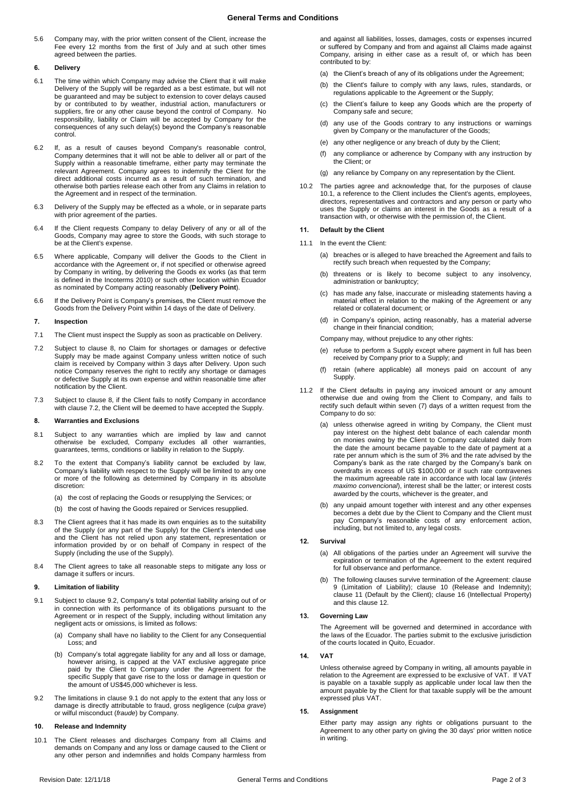5.6 Company may, with the prior written consent of the Client, increase the Fee every 12 months from the first of July and at such other times agreed between the parties.

## **6. Delivery**

- 6.1 The time within which Company may advise the Client that it will make Delivery of the Supply will be regarded as a best estimate, but will not be guaranteed and may be subject to extension to cover delays caused by or contributed to by weather, industrial action, manufacturers or suppliers, fire or any other cause beyond the control of Company. No responsibility, liability or Claim will be accepted by Company for the consequences of any such delay(s) beyond the Company's reasonable control.
- 6.2 If, as a result of causes beyond Company's reasonable control, Company determines that it will not be able to deliver all or part of the Supply within a reasonable timeframe, either party may terminate the relevant Agreement. Company agrees to indemnify the Client for the direct additional costs incurred as a result of such termination, and otherwise both parties release each other from any Claims in relation to the Agreement and in respect of the termination.
- 6.3 Delivery of the Supply may be effected as a whole, or in separate parts with prior agreement of the parties.
- 6.4 If the Client requests Company to delay Delivery of any or all of the Goods, Company may agree to store the Goods, with such storage to be at the Client's expense.
- <span id="page-1-0"></span>6.5 Where applicable, Company will deliver the Goods to the Client in accordance with the Agreement or, if not specified or otherwise agreed by Company in writing, by delivering the Goods ex works (as that term is defined in the Incoterms 2010) or such other location within Ecuador as nominated by Company acting reasonably (**Delivery Point**).
- 6.6 If the Delivery Point is Company's premises, the Client must remove the Goods from the Delivery Point within 14 days of the date of Delivery.

## **7. Inspection**

- 7.1 The Client must inspect the Supply as soon as practicable on Delivery.
- <span id="page-1-2"></span>7.2 Subject to clause [8,](#page-1-1) no Claim for shortages or damages or defective Supply may be made against Company unless written notice of such claim is received by Company within 3 days after Delivery. Upon such notice Company reserves the right to rectify any shortage or damages or defective Supply at its own expense and within reasonable time after notification by the Client.
- 7.3 Subject to clause [8,](#page-1-1) if the Client fails to notify Company in accordance with clause [7.2,](#page-1-2) the Client will be deemed to have accepted the Supply.

### <span id="page-1-1"></span>**8. Warranties and Exclusions**

- 8.1 Subject to any warranties which are implied by law and cannot otherwise be excluded, Company excludes all other warranties, guarantees, terms, conditions or liability in relation to the Supply.
- 8.2 To the extent that Company's liability cannot be excluded by law, Company's liability with respect to the Supply will be limited to any one or more of the following as determined by Company in its absolute discretion:
	- (a) the cost of replacing the Goods or resupplying the Services; or
	- (b) the cost of having the Goods repaired or Services resupplied.
- 8.3 The Client agrees that it has made its own enquiries as to the suitability of the Supply (or any part of the Supply) for the Client's intended use and the Client has not relied upon any statement, representation or information provided by or on behalf of Company in respect of the Supply (including the use of the Supply).
- 8.4 The Client agrees to take all reasonable steps to mitigate any loss or damage it suffers or incurs.

## <span id="page-1-6"></span>**9. Limitation of liability**

- <span id="page-1-4"></span>9.1 Subject to clause [9.2,](#page-1-3) Company's total potential liability arising out of or basjed to challed only company of their perchiter maximy arranged of the in connection with its performance of its obligations pursuant to the Agreement or in respect of the Supply, including without limitation any negligent acts or omissions, is limited as follows:
	- (a) Company shall have no liability to the Client for any Consequential Loss; and
	- (b) Company's total aggregate liability for any and all loss or damage, however arising, is capped at the VAT exclusive aggregate price paid by the Client to Company under the Agreement for the specific Supply that gave rise to the loss or damage in question or the amount of US\$45,000 whichever is less.
- <span id="page-1-3"></span>9.2 The limitations in clause [9.1](#page-1-4) do not apply to the extent that any loss or damage is directly attributable to fraud, gross negligence (*culpa grave*) or wilful misconduct (*fraude*) by Company.

### <span id="page-1-7"></span>**10. Release and Indemnity**

<span id="page-1-5"></span>10.1 The Client releases and discharges Company from all Claims and demands on Company and any loss or damage caused to the Client or any other person and indemnifies and holds Company harmless from

and against all liabilities, losses, damages, costs or expenses incurred or suffered by Company and from and against all Claims made against Company, arising in either case as a result of, or which has been contributed to by:

- (a) the Client's breach of any of its obligations under the Agreement:
- (b) the Client's failure to comply with any laws, rules, standards, or regulations applicable to the Agreement or the Supply;
- (c) the Client's failure to keep any Goods which are the property of Company safe and secure;
- (d) any use of the Goods contrary to any instructions or warnings given by Company or the manufacturer of the Goods;
- (e) any other negligence or any breach of duty by the Client;
- (f) any compliance or adherence by Company with any instruction by the Client; or
- (g) any reliance by Company on any representation by the Client.
- 10.2 The parties agree and acknowledge that, for the purposes of clause [10.1,](#page-1-5) a reference to the Client includes the Client's agents, employees, directors, representatives and contractors and any person or party who uses the Supply or claims an interest in the Goods as a result of a transaction with, or otherwise with the permission of, the Client.

## <span id="page-1-8"></span>**11. Default by the Client**

- 11.1 In the event the Client:
	- (a) breaches or is alleged to have breached the Agreement and fails to rectify such breach when requested by the Company;
	- (b) threatens or is likely to become subject to any insolvency, administration or bankruptcy;
	- (c) has made any false, inaccurate or misleading statements having a material effect in relation to the making of the Agreement or any related or collateral document; or
	- (d) in Company's opinion, acting reasonably, has a material adverse change in their financial condition;

Company may, without prejudice to any other rights:

- (e) refuse to perform a Supply except where payment in full has been received by Company prior to a Supply; and
- retain (where applicable) all moneys paid on account of any Supply.
- 11.2 If the Client defaults in paying any invoiced amount or any amount otherwise due and owing from the Client to Company, and fails to rectify such default within seven (7) days of a written request from the Company to do so:
	- (a) unless otherwise agreed in writing by Company, the Client must pay interest on the highest debt balance of each calendar month on monies owing by the Client to Company calculated daily from the date the amount became payable to the date of payment at a rate per annum which is the sum of 3% and the rate advised by the Company's bank as the rate charged by the Company's bank on overdrafts in excess of US \$100,000 or if such rate contravenes the maximum agreeable rate in accordance with local law (*interés maximo convencional*), interest shall be the latter; or interest costs awarded by the courts, whichever is the greater, and
	- (b) any unpaid amount together with interest and any other expenses becomes a debt due by the Client to Company and the Client must pay Company's reasonable costs of any enforcement action, including, but not limited to, any legal costs.

## <span id="page-1-9"></span>**12. Survival**

- (a) All obligations of the parties under an Agreement will survive the expiration or termination of the Agreement to the extent required for full observance and performance.
- The following clauses survive termination of the Agreement: clause [9](#page-1-6) (Limitation of Liability); clause [10](#page-1-7) (Release and Indemnity); clause [11](#page-1-8) (Default by the Client); clause 16 (Intellectual Property) and this claus[e 12.](#page-1-9)

## **13. Governing Law**

The Agreement will be governed and determined in accordance with the laws of the Ecuador. The parties submit to the exclusive jurisdiction of the courts located in Quito, Ecuador.

## **14. VAT**

Unless otherwise agreed by Company in writing, all amounts payable in relation to the Agreement are expressed to be exclusive of VAT. If VAT is payable on a taxable supply as applicable under local law then the amount payable by the Client for that taxable supply will be the amount expressed plus VAT.

## **15. Assignment**

Either party may assign any rights or obligations pursuant to the Agreement to any other party on giving the 30 days' prior written notice in writing.